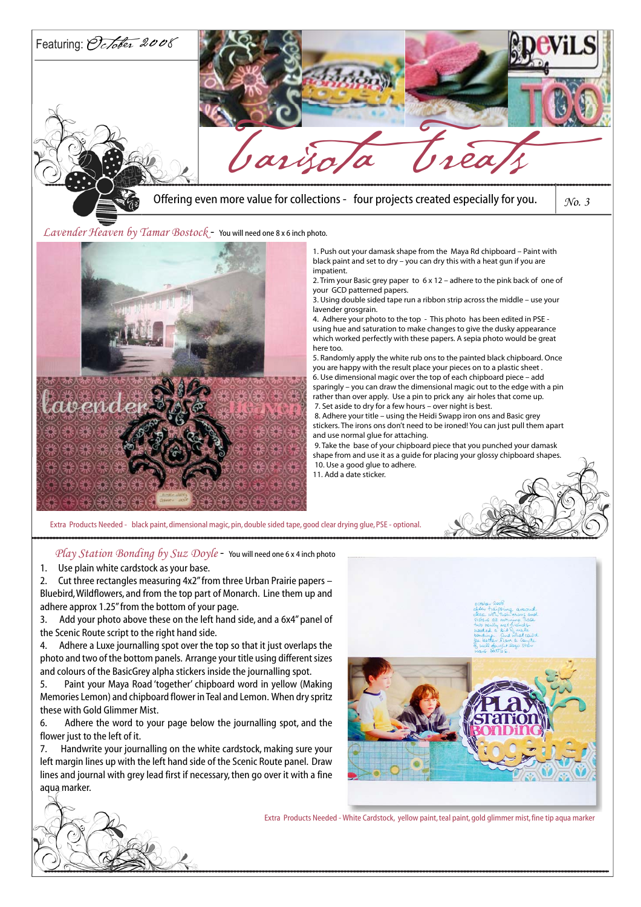

 $\emph{Lawender}$  Heaven by Tamar Bostock - You will need one 8 x 6 inch photo.



1. Push out your damask shape from the Maya Rd chipboard – Paint with black paint and set to dry – you can dry this with a heat gun if you are impatient.

2. Trim your Basic grey paper to 6 x 12 – adhere to the pink back of one of your GCD patterned papers.

3. Using double sided tape run a ribbon strip across the middle – use your lavender grosgrain.

4. Adhere your photo to the top - This photo has been edited in PSE using hue and saturation to make changes to give the dusky appearance which worked perfectly with these papers. A sepia photo would be great here too.

5. Randomly apply the white rub ons to the painted black chipboard. Once you are happy with the result place your pieces on to a plastic sheet . 6. Use dimensional magic over the top of each chipboard piece – add

sparingly – you can draw the dimensional magic out to the edge with a pin rather than over apply. Use a pin to prick any air holes that come up. 7. Set aside to dry for a few hours – over night is best.

 8. Adhere your title – using the Heidi Swapp iron ons and Basic grey stickers. The irons ons don't need to be ironed! You can just pull them apart and use normal glue for attaching.

 9. Take the base of your chipboard piece that you punched your damask shape from and use it as a guide for placing your glossy chipboard shapes. 10. Use a good glue to adhere.

11. Add a date sticker.

Play Station Bonding by Suz Doyle - You will need one 6 x 4 inch photo

1. Use plain white cardstock as your base.

2. Cut three rectangles measuring 4x2" from three Urban Prairie papers – Bluebird, Wildflowers, and from the top part of Monarch. Line them up and adhere approx 1.25" from the bottom of your page.

3. Add your photo above these on the left hand side, and a 6x4" panel of the Scenic Route script to the right hand side.

4. Adhere a Luxe journalling spot over the top so that it just overlaps the photo and two of the bottom panels. Arrange your title using different sizes and colours of the BasicGrey alpha stickers inside the journalling spot.

5. Paint your Maya Road 'together' chipboard word in yellow (Making Memories Lemon) and chipboard flower in Teal and Lemon. When dry spritz these with Gold Glimmer Mist.

6. Adhere the word to your page below the journalling spot, and the flower just to the left of it.

7. Handwrite your journalling on the white cardstock, making sure your left margin lines up with the left hand side of the Scenic Route panel. Draw lines and journal with grey lead first if necessary, then go over it with a fine aqua marker.



Extra Products Needed - White Cardstock, yellow paint, teal paint, gold glimmer mist, fine tip aqua marker